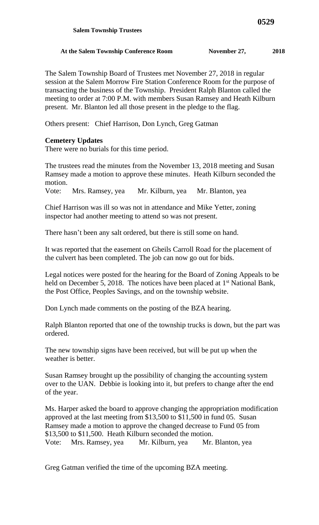## At the Salem Township Conference Room November 27, 2018

The Salem Township Board of Trustees met November 27, 2018 in regular session at the Salem Morrow Fire Station Conference Room for the purpose of transacting the business of the Township. President Ralph Blanton called the meeting to order at 7:00 P.M. with members Susan Ramsey and Heath Kilburn present. Mr. Blanton led all those present in the pledge to the flag.

Others present: Chief Harrison, Don Lynch, Greg Gatman

## **Cemetery Updates**

There were no burials for this time period.

The trustees read the minutes from the November 13, 2018 meeting and Susan Ramsey made a motion to approve these minutes. Heath Kilburn seconded the motion.

Vote: Mrs. Ramsey, yea Mr. Kilburn, yea Mr. Blanton, yea

Chief Harrison was ill so was not in attendance and Mike Yetter, zoning inspector had another meeting to attend so was not present.

There hasn't been any salt ordered, but there is still some on hand.

It was reported that the easement on Gheils Carroll Road for the placement of the culvert has been completed. The job can now go out for bids.

Legal notices were posted for the hearing for the Board of Zoning Appeals to be held on December 5, 2018. The notices have been placed at  $1<sup>st</sup>$  National Bank, the Post Office, Peoples Savings, and on the township website.

Don Lynch made comments on the posting of the BZA hearing.

Ralph Blanton reported that one of the township trucks is down, but the part was ordered.

The new township signs have been received, but will be put up when the weather is better.

Susan Ramsey brought up the possibility of changing the accounting system over to the UAN. Debbie is looking into it, but prefers to change after the end of the year.

Ms. Harper asked the board to approve changing the appropriation modification approved at the last meeting from \$13,500 to \$11,500 in fund 05. Susan Ramsey made a motion to approve the changed decrease to Fund 05 from \$13,500 to \$11,500. Heath Kilburn seconded the motion. Vote: Mrs. Ramsey, yea Mr. Kilburn, yea Mr. Blanton, yea

Greg Gatman verified the time of the upcoming BZA meeting.